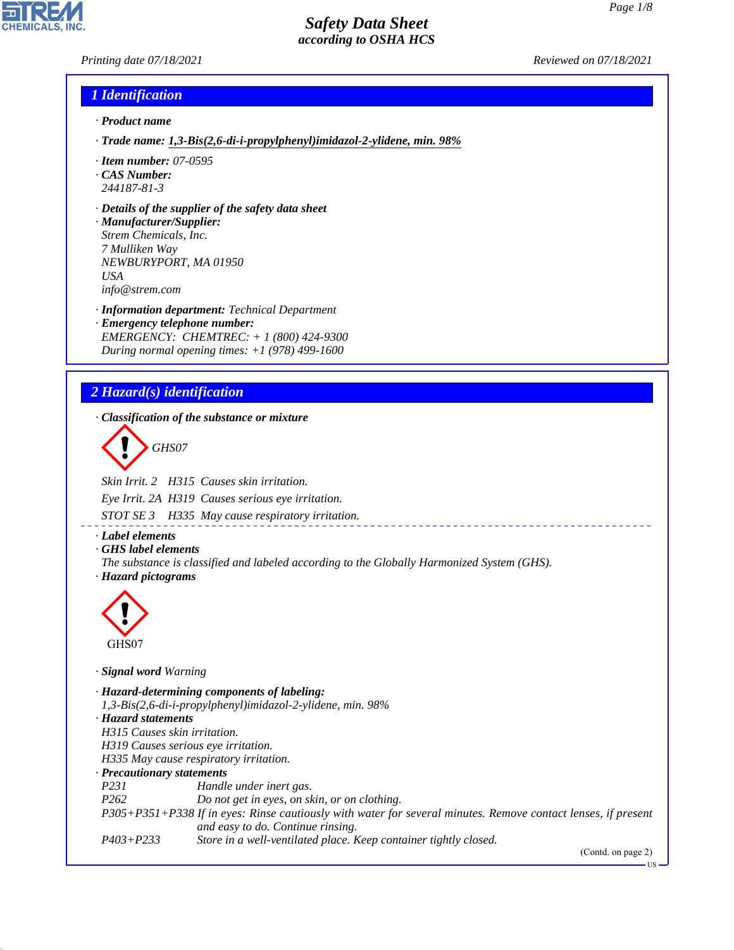*Printing date 07/18/2021 Reviewed on 07/18/2021*

### *1 Identification*

- *· Product name*
- *· Trade name: 1,3-Bis(2,6-di-i-propylphenyl)imidazol-2-ylidene, min. 98%*
- *· Item number: 07-0595*
- *· CAS Number: 244187-81-3*
- *· Details of the supplier of the safety data sheet*
- *· Manufacturer/Supplier: Strem Chemicals, Inc. 7 Mulliken Way NEWBURYPORT, MA 01950 USA info@strem.com*
- *· Information department: Technical Department · Emergency telephone number: EMERGENCY: CHEMTREC: + 1 (800) 424-9300 During normal opening times: +1 (978) 499-1600*

## *2 Hazard(s) identification*

*· Classification of the substance or mixture*

d~*GHS07*

*Skin Irrit. 2 H315 Causes skin irritation.*

*Eye Irrit. 2A H319 Causes serious eye irritation.*

*STOT SE 3 H335 May cause respiratory irritation.*

- *· Label elements*
- *· GHS label elements*
- *The substance is classified and labeled according to the Globally Harmonized System (GHS). · Hazard pictograms*



44.1.1

*· Signal word Warning*

*· Hazard-determining components of labeling: 1,3-Bis(2,6-di-i-propylphenyl)imidazol-2-ylidene, min. 98% · Hazard statements H315 Causes skin irritation. H319 Causes serious eye irritation. H335 May cause respiratory irritation. · Precautionary statements P231 Handle under inert gas. P262 Do not get in eyes, on skin, or on clothing. P305+P351+P338 If in eyes: Rinse cautiously with water for several minutes. Remove contact lenses, if present and easy to do. Continue rinsing. P403+P233 Store in a well-ventilated place. Keep container tightly closed.*

(Contd. on page 2)

US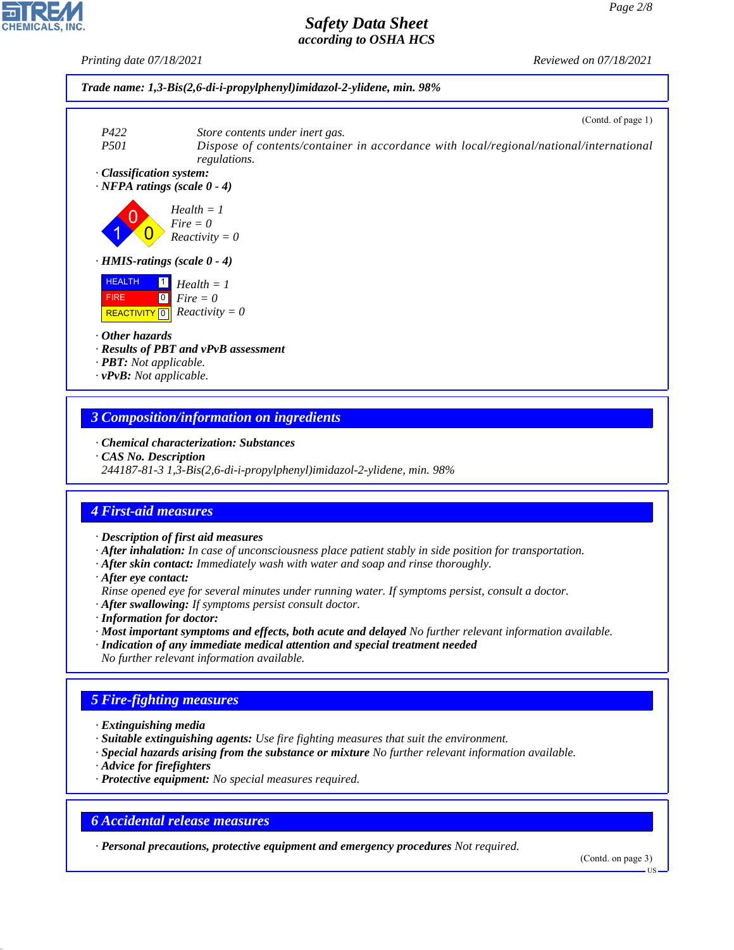*Printing date 07/18/2021 Reviewed on 07/18/2021*



(Contd. of page 1)



### *3 Composition/information on ingredients*

- *· Chemical characterization: Substances*
- *· CAS No. Description*
- *244187-81-3 1,3-Bis(2,6-di-i-propylphenyl)imidazol-2-ylidene, min. 98%*

## *4 First-aid measures*

- *· Description of first aid measures*
- *· After inhalation: In case of unconsciousness place patient stably in side position for transportation.*
- *· After skin contact: Immediately wash with water and soap and rinse thoroughly.*
- *· After eye contact:*
- *Rinse opened eye for several minutes under running water. If symptoms persist, consult a doctor.*

*· After swallowing: If symptoms persist consult doctor.*

- *· Information for doctor:*
- *· Most important symptoms and effects, both acute and delayed No further relevant information available.*
- *· Indication of any immediate medical attention and special treatment needed*
- *No further relevant information available.*

## *5 Fire-fighting measures*

- *· Extinguishing media*
- *· Suitable extinguishing agents: Use fire fighting measures that suit the environment.*
- *· Special hazards arising from the substance or mixture No further relevant information available.*
- *· Advice for firefighters*

44.1.1

*· Protective equipment: No special measures required.*

## *6 Accidental release measures*

*· Personal precautions, protective equipment and emergency procedures Not required.*

(Contd. on page 3)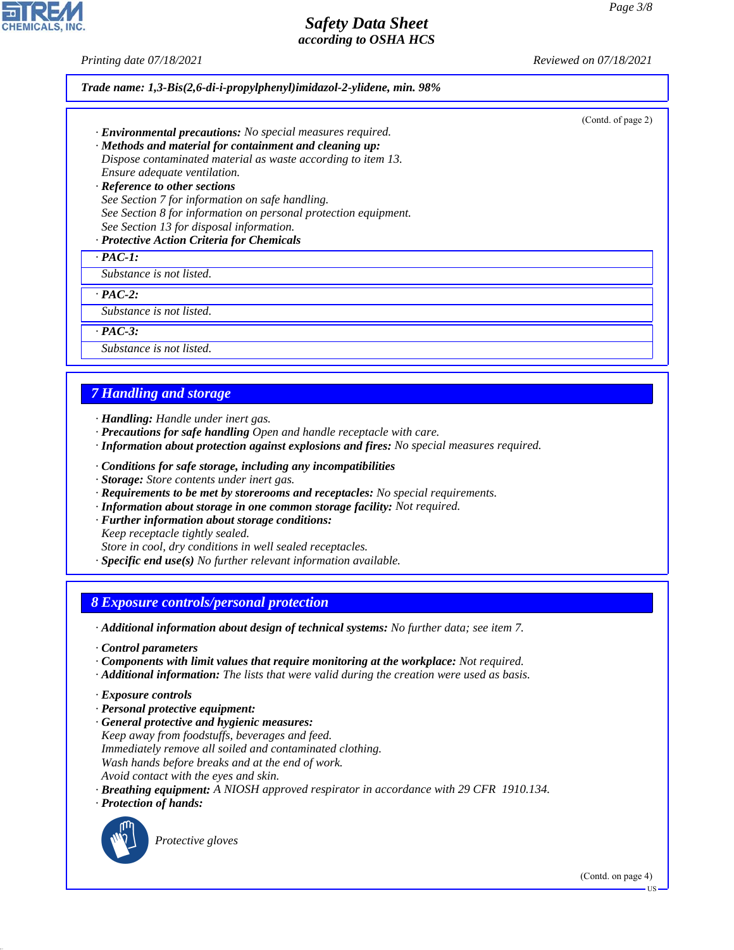*Printing date 07/18/2021 Reviewed on 07/18/2021*

| Trade name: 1,3-Bis(2,6-di-i-propylphenyl)imidazol-2-ylidene, min. 98%                                                                                                                                                                                                                                                                                                                                                                                                                              |  |
|-----------------------------------------------------------------------------------------------------------------------------------------------------------------------------------------------------------------------------------------------------------------------------------------------------------------------------------------------------------------------------------------------------------------------------------------------------------------------------------------------------|--|
| (Contd. of page 2)<br>· <b>Environmental precautions:</b> No special measures required.<br>· Methods and material for containment and cleaning up:<br>Dispose contaminated material as waste according to item 13.<br>Ensure adequate ventilation.<br>· Reference to other sections<br>See Section 7 for information on safe handling.<br>See Section 8 for information on personal protection equipment.<br>See Section 13 for disposal information.<br>· Protective Action Criteria for Chemicals |  |
| $\cdot$ PAC-1:                                                                                                                                                                                                                                                                                                                                                                                                                                                                                      |  |
| Substance is not listed.                                                                                                                                                                                                                                                                                                                                                                                                                                                                            |  |
| $\cdot$ PAC-2:                                                                                                                                                                                                                                                                                                                                                                                                                                                                                      |  |
| Substance is not listed.                                                                                                                                                                                                                                                                                                                                                                                                                                                                            |  |
| $\cdot$ PAC-3:                                                                                                                                                                                                                                                                                                                                                                                                                                                                                      |  |
| Substance is not listed.                                                                                                                                                                                                                                                                                                                                                                                                                                                                            |  |
|                                                                                                                                                                                                                                                                                                                                                                                                                                                                                                     |  |

## *7 Handling and storage*

*· Handling: Handle under inert gas.*

- *· Precautions for safe handling Open and handle receptacle with care.*
- *· Information about protection against explosions and fires: No special measures required.*
- *· Conditions for safe storage, including any incompatibilities*
- *· Storage: Store contents under inert gas.*
- *· Requirements to be met by storerooms and receptacles: No special requirements.*
- *· Information about storage in one common storage facility: Not required.*
- *· Further information about storage conditions:*

*Keep receptacle tightly sealed.*

*Store in cool, dry conditions in well sealed receptacles.*

*· Specific end use(s) No further relevant information available.*

#### *8 Exposure controls/personal protection*

*· Additional information about design of technical systems: No further data; see item 7.*

- *· Control parameters*
- *· Components with limit values that require monitoring at the workplace: Not required.*
- *· Additional information: The lists that were valid during the creation were used as basis.*
- *· Exposure controls*
- *· Personal protective equipment:*
- *· General protective and hygienic measures: Keep away from foodstuffs, beverages and feed. Immediately remove all soiled and contaminated clothing. Wash hands before breaks and at the end of work. Avoid contact with the eyes and skin.*
- *· Breathing equipment: A NIOSH approved respirator in accordance with 29 CFR 1910.134.*
- *· Protection of hands:*



44.1.1

\_S*Protective gloves*

(Contd. on page 4)

US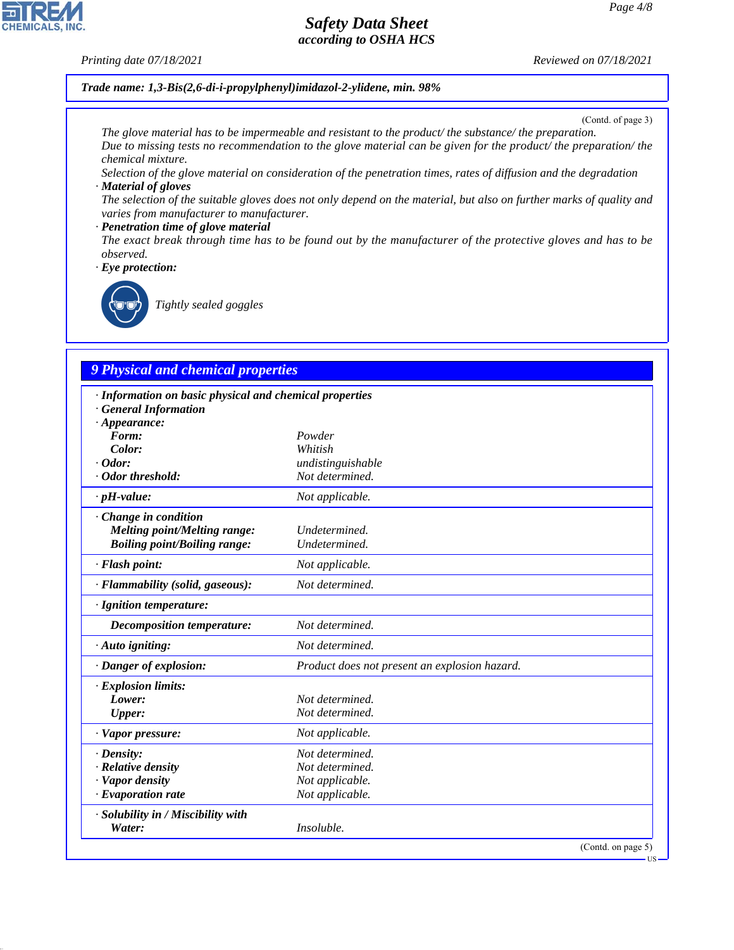### *Printing date 07/18/2021 Reviewed on 07/18/2021*

**CHEMICALS, INC.** 

*Trade name: 1,3-Bis(2,6-di-i-propylphenyl)imidazol-2-ylidene, min. 98%*

(Contd. of page 3)

*The glove material has to be impermeable and resistant to the product/ the substance/ the preparation. Due to missing tests no recommendation to the glove material can be given for the product/ the preparation/ the chemical mixture.*

*Selection of the glove material on consideration of the penetration times, rates of diffusion and the degradation · Material of gloves*

*The selection of the suitable gloves does not only depend on the material, but also on further marks of quality and varies from manufacturer to manufacturer.*

#### *· Penetration time of glove material*

*The exact break through time has to be found out by the manufacturer of the protective gloves and has to be observed.*

*· Eye protection:*



44.1.1

\_R*Tightly sealed goggles*

# *9 Physical and chemical properties*

| · Information on basic physical and chemical properties |                                               |
|---------------------------------------------------------|-----------------------------------------------|
| <b>General Information</b><br>$\cdot$ Appearance:       |                                               |
| Form:                                                   | Powder                                        |
| Color:                                                  | Whitish                                       |
| $\cdot$ Odor:                                           | undistinguishable                             |
| Odor threshold:                                         | Not determined.                               |
| $\cdot$ pH-value:                                       | Not applicable.                               |
| · Change in condition                                   |                                               |
| <b>Melting point/Melting range:</b>                     | Undetermined.                                 |
| <b>Boiling point/Boiling range:</b>                     | Undetermined.                                 |
| · Flash point:                                          | Not applicable.                               |
| · Flammability (solid, gaseous):                        | Not determined.                               |
| · Ignition temperature:                                 |                                               |
| Decomposition temperature:                              | Not determined.                               |
| $\cdot$ Auto igniting:                                  | Not determined.                               |
| · Danger of explosion:                                  | Product does not present an explosion hazard. |
| · Explosion limits:                                     |                                               |
| Lower:                                                  | Not determined.                               |
| <b>Upper:</b>                                           | Not determined.                               |
| · Vapor pressure:                                       | Not applicable.                               |
| $\cdot$ Density:                                        | Not determined.                               |
| · Relative density                                      | Not determined.                               |
| · Vapor density                                         | Not applicable.                               |
| $\cdot$ Evaporation rate                                | Not applicable.                               |
| · Solubility in / Miscibility with                      |                                               |
| Water:                                                  | Insoluble.                                    |
|                                                         | (Contd. on page 5)                            |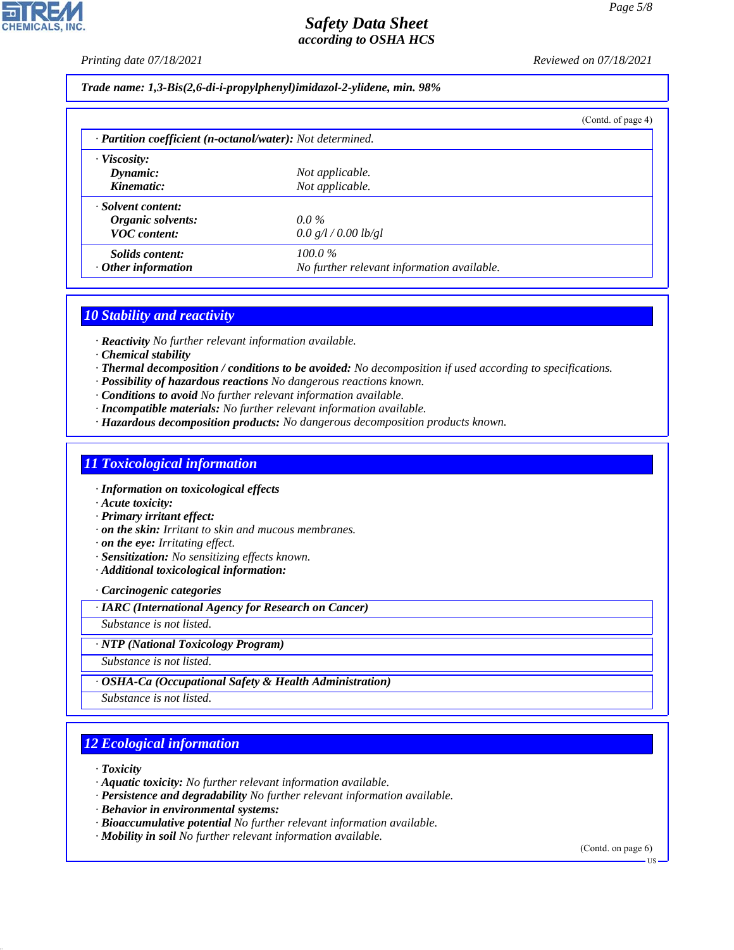*Printing date 07/18/2021 Reviewed on 07/18/2021*

*Page 5/8*

*Trade name: 1,3-Bis(2,6-di-i-propylphenyl)imidazol-2-ylidene, min. 98%*

|                           |                                                            | (Cond. of page 4) |  |  |
|---------------------------|------------------------------------------------------------|-------------------|--|--|
|                           | · Partition coefficient (n-octanol/water): Not determined. |                   |  |  |
| $\cdot$ Viscosity:        |                                                            |                   |  |  |
| Dynamic:                  | Not applicable.                                            |                   |  |  |
| Kinematic:                | Not applicable.                                            |                   |  |  |
| · Solvent content:        |                                                            |                   |  |  |
| Organic solvents:         | $0.0\%$                                                    |                   |  |  |
| <b>VOC</b> content:       | 0.0 g/l / 0.00 lb/gl                                       |                   |  |  |
| <i>Solids content:</i>    | $100.0\%$                                                  |                   |  |  |
| $\cdot$ Other information | No further relevant information available.                 |                   |  |  |

### *10 Stability and reactivity*

*· Reactivity No further relevant information available.*

- *· Chemical stability*
- *· Thermal decomposition / conditions to be avoided: No decomposition if used according to specifications.*
- *· Possibility of hazardous reactions No dangerous reactions known.*
- *· Conditions to avoid No further relevant information available.*
- *· Incompatible materials: No further relevant information available.*
- *· Hazardous decomposition products: No dangerous decomposition products known.*

### *11 Toxicological information*

*· Information on toxicological effects*

*· Acute toxicity:*

*· Primary irritant effect:*

- *· on the skin: Irritant to skin and mucous membranes.*
- *· on the eye: Irritating effect.*
- *· Sensitization: No sensitizing effects known.*
- *· Additional toxicological information:*

*· Carcinogenic categories*

*· IARC (International Agency for Research on Cancer)*

*Substance is not listed.*

#### *· NTP (National Toxicology Program)*

*Substance is not listed.*

#### *· OSHA-Ca (Occupational Safety & Health Administration)*

*Substance is not listed.*

## *12 Ecological information*

*· Toxicity*

44.1.1

- *· Aquatic toxicity: No further relevant information available.*
- *· Persistence and degradability No further relevant information available.*
- *· Behavior in environmental systems:*
- *· Bioaccumulative potential No further relevant information available.*
- *· Mobility in soil No further relevant information available.*

(Contd. on page 6)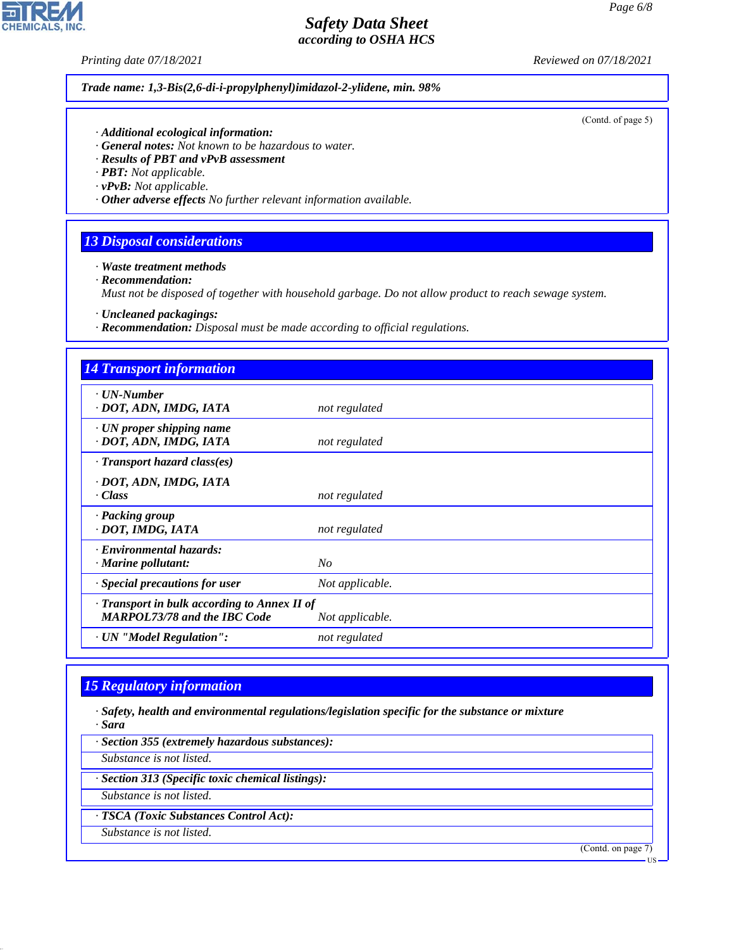**CHEMICALS, INC.** 

*Printing date 07/18/2021 Reviewed on 07/18/2021*

*Trade name: 1,3-Bis(2,6-di-i-propylphenyl)imidazol-2-ylidene, min. 98%*

(Contd. of page 5)

- *· Additional ecological information:*
- *· General notes: Not known to be hazardous to water.*
- *· Results of PBT and vPvB assessment*
- *· PBT: Not applicable.*
- *· vPvB: Not applicable.*
- *· Other adverse effects No further relevant information available.*

## *13 Disposal considerations*

- *· Waste treatment methods*
- *· Recommendation:*

*Must not be disposed of together with household garbage. Do not allow product to reach sewage system.*

- *· Uncleaned packagings:*
- *· Recommendation: Disposal must be made according to official regulations.*

| <b>14 Transport information</b>                                                     |                 |
|-------------------------------------------------------------------------------------|-----------------|
| $\cdot$ UN-Number<br>· DOT, ADN, IMDG, IATA                                         | not regulated   |
| $\cdot$ UN proper shipping name<br>· DOT, ADN, IMDG, IATA                           | not regulated   |
| $\cdot$ Transport hazard class(es)                                                  |                 |
| · DOT, ADN, IMDG, IATA<br>· Class                                                   | not regulated   |
| · Packing group<br>· DOT, IMDG, IATA                                                | not regulated   |
| · Environmental hazards:<br>· Marine pollutant:                                     | N <sub>O</sub>  |
| · Special precautions for user                                                      | Not applicable. |
| · Transport in bulk according to Annex II of<br><b>MARPOL73/78 and the IBC Code</b> | Not applicable. |
| · UN "Model Regulation":                                                            | not regulated   |

## *15 Regulatory information*

44.1.1

- *· Safety, health and environmental regulations/legislation specific for the substance or mixture · Sara*
- *· Section 355 (extremely hazardous substances): Substance is not listed. · Section 313 (Specific toxic chemical listings): Substance is not listed. · TSCA (Toxic Substances Control Act): Substance is not listed.* (Contd. on page 7) US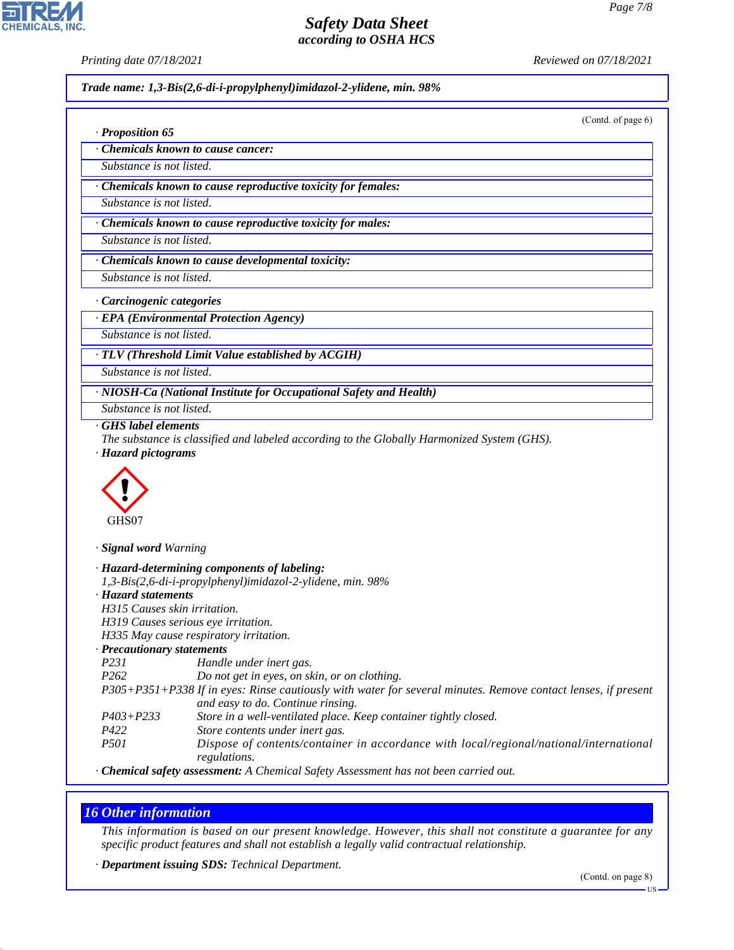**CHEMICALS, INC** 

*· Proposition 65*

*Printing date 07/18/2021 Reviewed on 07/18/2021*

*Trade name: 1,3-Bis(2,6-di-i-propylphenyl)imidazol-2-ylidene, min. 98%*

(Contd. of page 6)

*· Chemicals known to cause cancer:*

*Substance is not listed.*

*· Chemicals known to cause reproductive toxicity for females:*

*Substance is not listed.*

*· Chemicals known to cause reproductive toxicity for males:*

*Substance is not listed.*

*· Chemicals known to cause developmental toxicity:*

*Substance is not listed.*

*· Carcinogenic categories*

*· EPA (Environmental Protection Agency)*

*Substance is not listed.*

*· TLV (Threshold Limit Value established by ACGIH)*

*Substance is not listed.*

*· NIOSH-Ca (National Institute for Occupational Safety and Health)*

*Substance is not listed.*

*· GHS label elements*

*The substance is classified and labeled according to the Globally Harmonized System (GHS). · Hazard pictograms*



*· Signal word Warning*

|                              | · Hazard-determining components of labeling:                                                                  |
|------------------------------|---------------------------------------------------------------------------------------------------------------|
|                              | 1,3-Bis(2,6-di-i-propylphenyl)imidazol-2-ylidene, min. 98%                                                    |
| · Hazard statements          |                                                                                                               |
| H315 Causes skin irritation. |                                                                                                               |
|                              | H319 Causes serious eye irritation.                                                                           |
|                              | H335 May cause respiratory irritation.                                                                        |
| · Precautionary statements   |                                                                                                               |
| P231                         | Handle under inert gas.                                                                                       |
| P <sub>262</sub>             | Do not get in eyes, on skin, or on clothing.                                                                  |
|                              | P305+P351+P338 If in eyes: Rinse cautiously with water for several minutes. Remove contact lenses, if present |
|                              | and easy to do. Continue rinsing.                                                                             |
| $P403 + P233$                | Store in a well-ventilated place. Keep container tightly closed.                                              |
| P422                         | Store contents under inert gas.                                                                               |
| <i>P501</i>                  | Dispose of contents/container in accordance with local/regional/national/international<br>regulations.        |
|                              |                                                                                                               |

*· Chemical safety assessment: A Chemical Safety Assessment has not been carried out.*

## *16 Other information*

44.1.1

*This information is based on our present knowledge. However, this shall not constitute a guarantee for any specific product features and shall not establish a legally valid contractual relationship.*

*· Department issuing SDS: Technical Department.*

US